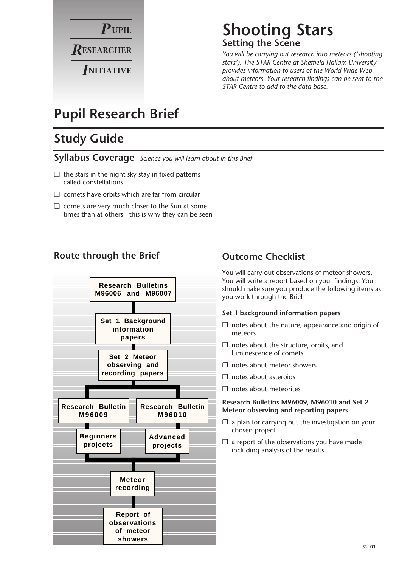

## **Shooting Stars Setting the Scene**

*You will be carrying out research into meteors ('shooting stars'). The STAR Centre at Sheffield Hallam University provides information to users of the World Wide Web about meteors. Your research findings can be sent to the STAR Centre to add to the data base.* 

# **Pupil Research Brief**

# **Study Guide**

**Syllabus Coverage** *Science you will learn about in this Brief*

- ❏ the stars in the night sky stay in fixed patterns called constellations
- ❏ comets have orbits which are far from circular
- ❏ comets are very much closer to the Sun at some times than at others - this is why they can be seen

#### **Route through the Brief**



#### **Outcome Checklist**

You will carry out observations of meteor showers. You will write a report based on your findings. You should make sure you produce the following items as you work through the Brief

#### **Set 1 background information papers**

- $\square$  notes about the nature, appearance and origin of meteors
- $\Box$  notes about the structure, orbits, and luminescence of comets
- ❐ notes about meteor showers
- ❐ notes about asteroids
- ❐ notes about meteorites

#### **Research Bulletins M96009, M96010 and Set 2 Meteor observing and reporting papers**

- $\Box$  a plan for carrying out the investigation on your chosen project
- $\Box$  a report of the observations you have made including analysis of the results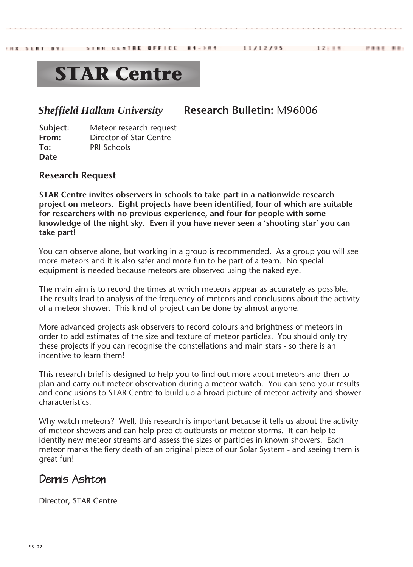#### 11/12/95

 $12 + 14$ 

**PRES RE** 

# **STAR Centre**

STRR CENTRE OFFICE

## *Sheffield Hallam University* **Research Bulletin:** M96006

 $B4 - 3B4$ 

**Subject:** Meteor research request **From:** Director of Star Centre **To:** PRI Schools **Date**

#### **Research Request**

FRX SERT BY:

**STAR Centre invites observers in schools to take part in a nationwide research project on meteors. Eight projects have been identified, four of which are suitable for researchers with no previous experience, and four for people with some knowledge of the night sky. Even if you have never seen a 'shooting star' you can take part!**

You can observe alone, but working in a group is recommended. As a group you will see more meteors and it is also safer and more fun to be part of a team. No special equipment is needed because meteors are observed using the naked eye.

The main aim is to record the times at which meteors appear as accurately as possible. The results lead to analysis of the frequency of meteors and conclusions about the activity of a meteor shower. This kind of project can be done by almost anyone.

More advanced projects ask observers to record colours and brightness of meteors in order to add estimates of the size and texture of meteor particles. You should only try these projects if you can recognise the constellations and main stars - so there is an incentive to learn them!

This research brief is designed to help you to find out more about meteors and then to plan and carry out meteor observation during a meteor watch. You can send your results and conclusions to STAR Centre to build up a broad picture of meteor activity and shower characteristics.

Why watch meteors? Well, this research is important because it tells us about the activity of meteor showers and can help predict outbursts or meteor storms. It can help to identify new meteor streams and assess the sizes of particles in known showers. Each meteor marks the fiery death of an original piece of our Solar System - and seeing them is great fun!

## Dennis Ashton

Director, STAR Centre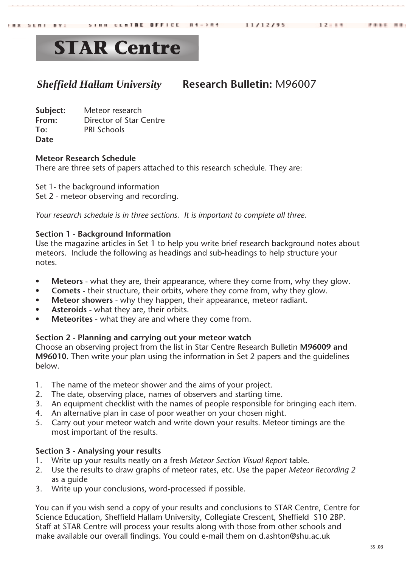### *Sheffield Hallam University* **Research Bulletin:** M96007

| Subject: | Meteor research         |
|----------|-------------------------|
| From:    | Director of Star Centre |
| To:      | <b>PRI Schools</b>      |
| Date     |                         |

#### **Meteor Research Schedule**

There are three sets of papers attached to this research schedule. They are:

Set 1- the background information Set 2 - meteor observing and recording.

*Your research schedule is in three sections. It is important to complete all three.*

#### **Section 1 - Background Information**

Use the magazine articles in Set 1 to help you write brief research background notes about meteors. Include the following as headings and sub-headings to help structure your notes.

- **Meteors** what they are, their appearance, where they come from, why they glow.
- **Comets** their structure, their orbits, where they come from, why they glow.
- **Meteor showers** why they happen, their appearance, meteor radiant.
- **Asteroids** what they are, their orbits.
- **Meteorites** what they are and where they come from.

#### **Section 2 - Planning and carrying out your meteor watch**

Choose an observing project from the list in Star Centre Research Bulletin **M96009 and M96010.** Then write your plan using the information in Set 2 papers and the guidelines below.

- 1. The name of the meteor shower and the aims of your project.
- 2. The date, observing place, names of observers and starting time.
- 3. An equipment checklist with the names of people responsible for bringing each item.
- 4. An alternative plan in case of poor weather on your chosen night.
- 5. Carry out your meteor watch and write down your results. Meteor timings are the most important of the results.

#### **Section 3 - Analysing your results**

- 1. Write up your results neatly on a fresh *Meteor Section Visual Report* table.
- 2. Use the results to draw graphs of meteor rates, etc. Use the paper *Meteor Recording 2* as a guide
- 3. Write up your conclusions, word-processed if possible.

You can if you wish send a copy of your results and conclusions to STAR Centre, Centre for Science Education, Sheffield Hallam University, Collegiate Crescent, Sheffield S10 2BP. Staff at STAR Centre will process your results along with those from other schools and make available our overall findings. You could e-mail them on d.ashton@shu.ac.uk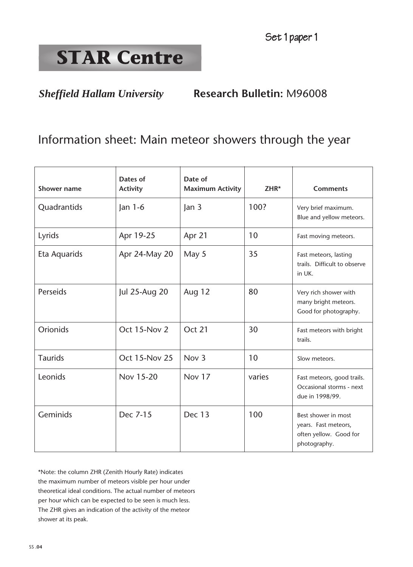*Sheffield Hallam University* **Research Bulletin:** M96008

# Information sheet: Main meteor showers through the year

| <b>Shower name</b> | Dates of<br><b>Activity</b> | Date of<br><b>Maximum Activity</b> | $ZHR*$ | <b>Comments</b>                                                                       |
|--------------------|-----------------------------|------------------------------------|--------|---------------------------------------------------------------------------------------|
| Quadrantids        | $\tan 1-6$                  | Jan 3                              | 100?   | Very brief maximum.<br>Blue and yellow meteors.                                       |
| Lyrids             | Apr 19-25                   | Apr 21                             | 10     | Fast moving meteors.                                                                  |
| Eta Aquarids       | Apr 24-May 20               | May 5                              | 35     | Fast meteors, lasting<br>trails. Difficult to observe<br>in UK.                       |
| Perseids           | Jul 25-Aug 20               | Aug 12                             | 80     | Very rich shower with<br>many bright meteors.<br>Good for photography.                |
| <b>Orionids</b>    | Oct 15-Nov 2                | Oct 21                             | 30     | Fast meteors with bright<br>trails.                                                   |
| <b>Taurids</b>     | <b>Oct 15-Nov 25</b>        | Nov <sub>3</sub>                   | 10     | Slow meteors.                                                                         |
| Leonids            | Nov 15-20                   | Nov 17                             | varies | Fast meteors, good trails.<br>Occasional storms - next<br>due in 1998/99.             |
| Geminids           | Dec 7-15                    | Dec 13                             | 100    | Best shower in most<br>years. Fast meteors,<br>often yellow. Good for<br>photography. |

\*Note: the column ZHR (Zenith Hourly Rate) indicates the maximum number of meteors visible per hour under theoretical ideal conditions. The actual number of meteors per hour which can be expected to be seen is much less. The ZHR gives an indication of the activity of the meteor shower at its peak.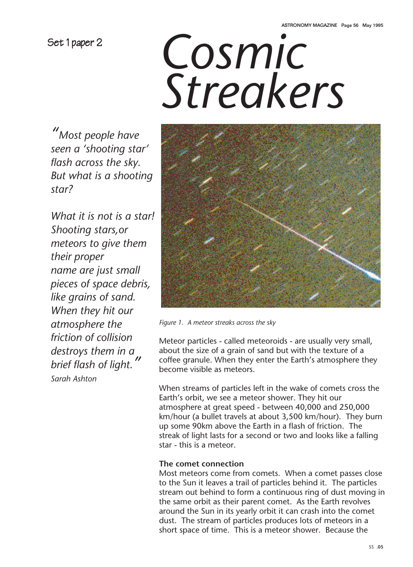Set 1 paper 2

# *Cosmic Streakers*

*"Most people have seen a 'shooting star' flash across the sky. But what is a shooting star?*

*What it is not is a star! Shooting stars,or meteors to give them their proper name are just small pieces of space debris, like grains of sand. When they hit our atmosphere the friction of collision destroys them in a brief flash of light." Sarah Ashton*



*Figure 1. A meteor streaks across the sky*

Meteor particles - called meteoroids - are usually very small, about the size of a grain of sand but with the texture of a coffee granule. When they enter the Earth's atmosphere they become visible as meteors.

When streams of particles left in the wake of comets cross the Earth's orbit, we see a meteor shower. They hit our atmosphere at great speed - between 40,000 and 250,000 km/hour (a bullet travels at about 3,500 km/hour). They burn up some 90km above the Earth in a flash of friction. The streak of light lasts for a second or two and looks like a falling star - this is a meteor.

#### **The comet connection**

Most meteors come from comets. When a comet passes close to the Sun it leaves a trail of particles behind it. The particles stream out behind to form a continuous ring of dust moving in the same orbit as their parent comet. As the Earth revolves around the Sun in its yearly orbit it can crash into the comet dust. The stream of particles produces lots of meteors in a short space of time. This is a meteor shower. Because the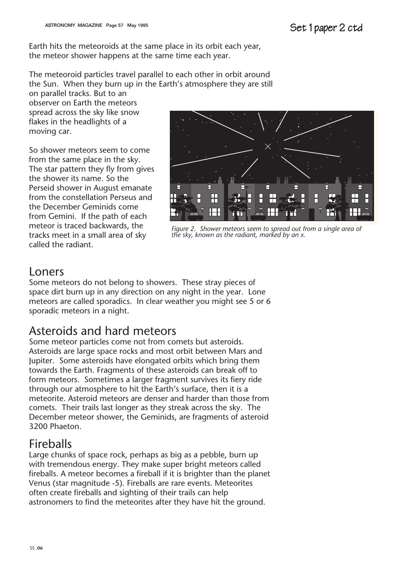Earth hits the meteoroids at the same place in its orbit each year, the meteor shower happens at the same time each year.

The meteoroid particles travel parallel to each other in orbit around the Sun. When they burn up in the Earth's atmosphere they are still

on parallel tracks. But to an observer on Earth the meteors spread across the sky like snow flakes in the headlights of a moving car.

So shower meteors seem to come from the same place in the sky. The star pattern they fly from gives the shower its name. So the Perseid shower in August emanate from the constellation Perseus and the December Geminids come from Gemini. If the path of each meteor is traced backwards, the tracks meet in a small area of sky called the radiant.



*Figure 2. Shower meteors seem to spread out from a single area of the sky, known as the radiant, marked by an x.*

## Loners

Some meteors do not belong to showers. These stray pieces of space dirt burn up in any direction on any night in the year. Lone meteors are called sporadics. In clear weather you might see 5 or 6 sporadic meteors in a night.

# Asteroids and hard meteors

Some meteor particles come not from comets but asteroids. Asteroids are large space rocks and most orbit between Mars and Jupiter. Some asteroids have elongated orbits which bring them towards the Earth. Fragments of these asteroids can break off to form meteors. Sometimes a larger fragment survives its fiery ride through our atmosphere to hit the Earth's surface, then it is a meteorite. Asteroid meteors are denser and harder than those from comets. Their trails last longer as they streak across the sky. The December meteor shower, the Geminids, are fragments of asteroid 3200 Phaeton.

# Fireballs

Large chunks of space rock, perhaps as big as a pebble, burn up with tremendous energy. They make super bright meteors called fireballs. A meteor becomes a fireball if it is brighter than the planet Venus (star magnitude -5). Fireballs are rare events. Meteorites often create fireballs and sighting of their trails can help astronomers to find the meteorites after they have hit the ground.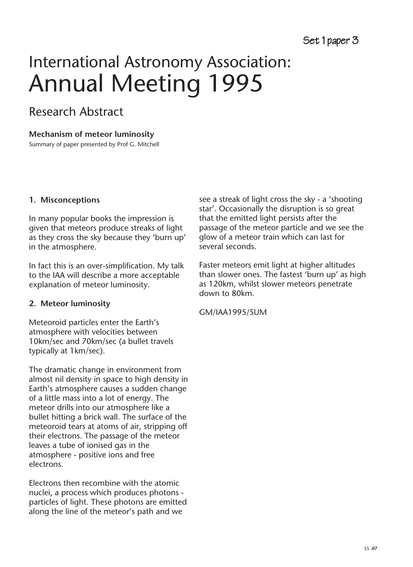# International Astronomy Association: Annual Meeting 1995

# Research Abstract

#### **Mechanism of meteor luminosity**

Summary of paper presented by Prof G. Mitchell

#### **1. Misconceptions**

In many popular books the impression is given that meteors produce streaks of light as they cross the sky because they 'burn up' in the atmosphere.

In fact this is an over-simplification. My talk to the IAA will describe a more acceptable explanation of meteor luminosity.

#### **2. Meteor luminosity**

Meteoroid particles enter the Earth's atmosphere with velocities between 10km/sec and 70km/sec (a bullet travels typically at 1km/sec).

The dramatic change in environment from almost nil density in space to high density in Earth's atmosphere causes a sudden change of a little mass into a lot of energy. The meteor drills into our atmosphere like a bullet hitting a brick wall. The surface of the meteoroid tears at atoms of air, stripping off their electrons. The passage of the meteor leaves a tube of ionised gas in the atmosphere - positive ions and free electrons.

Electrons then recombine with the atomic nuclei, a process which produces photons particles of light. These photons are emitted along the line of the meteor's path and we

see a streak of light cross the sky - a 'shooting star'. Occasionally the disruption is so great that the emitted light persists after the passage of the meteor particle and we see the glow of a meteor train which can last for several seconds.

Faster meteors emit light at higher altitudes than slower ones. The fastest 'burn up' as high as 120km, whilst slower meteors penetrate down to 80km.

GM/IAA1995/SUM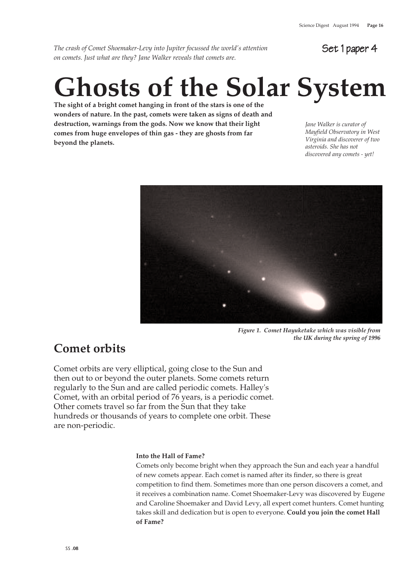*The crash of Comet Shoemaker-Levy into Jupiter focussed the world's attention on comets. Just what are they? Jane Walker reveals that comets are.*

Set 1 paper 4

# **Ghosts of the Solar System**

**The sight of a bright comet hanging in front of the stars is one of the wonders of nature. In the past, comets were taken as signs of death and destruction, warnings from the gods. Now we know that their light comes from huge envelopes of thin gas - they are ghosts from far beyond the planets.**

*Jane Walker is curator of Mayfield Observatory in West Virginia and discoverer of two asteroids. She has not discovered any comets - yet!*



*Figure 1. Comet Hayuketake which was visible from the UK during the spring of 1996*

# **Comet orbits**

Comet orbits are very elliptical, going close to the Sun and then out to or beyond the outer planets. Some comets return regularly to the Sun and are called periodic comets. Halley's Comet, with an orbital period of 76 years, is a periodic comet. Other comets travel so far from the Sun that they take hundreds or thousands of years to complete one orbit. These are non-periodic.

#### **Into the Hall of Fame?**

Comets only become bright when they approach the Sun and each year a handful of new comets appear. Each comet is named after its finder, so there is great competition to find them. Sometimes more than one person discovers a comet, and it receives a combination name. Comet Shoemaker-Levy was discovered by Eugene and Caroline Shoemaker and David Levy, all expert comet hunters. Comet hunting takes skill and dedication but is open to everyone. **Could you join the comet Hall of Fame?**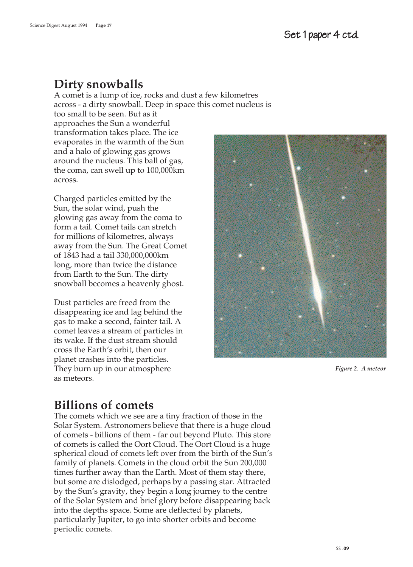## **Dirty snowballs**

A comet is a lump of ice, rocks and dust a few kilometres across - a dirty snowball. Deep in space this comet nucleus is too small to be seen. But as it approaches the Sun a wonderful transformation takes place. The ice evaporates in the warmth of the Sun and a halo of glowing gas grows around the nucleus. This ball of gas, the coma, can swell up to 100,000km across.

Charged particles emitted by the Sun, the solar wind, push the glowing gas away from the coma to form a tail. Comet tails can stretch for millions of kilometres, always away from the Sun. The Great Comet of 1843 had a tail 330,000,000km long, more than twice the distance from Earth to the Sun. The dirty snowball becomes a heavenly ghost.

Dust particles are freed from the disappearing ice and lag behind the gas to make a second, fainter tail. A comet leaves a stream of particles in its wake. If the dust stream should cross the Earth's orbit, then our planet crashes into the particles. They burn up in our atmosphere as meteors.



*Figure 2. A meteor* 

# **Billions of comets**

The comets which we see are a tiny fraction of those in the Solar System. Astronomers believe that there is a huge cloud of comets - billions of them - far out beyond Pluto. This store of comets is called the Oort Cloud. The Oort Cloud is a huge spherical cloud of comets left over from the birth of the Sun's family of planets. Comets in the cloud orbit the Sun 200,000 times further away than the Earth. Most of them stay there, but some are dislodged, perhaps by a passing star. Attracted by the Sun's gravity, they begin a long journey to the centre of the Solar System and brief glory before disappearing back into the depths space. Some are deflected by planets, particularly Jupiter, to go into shorter orbits and become periodic comets.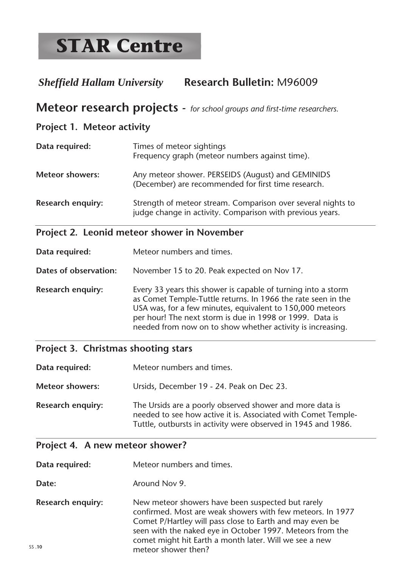# *Sheffield Hallam University* **Research Bulletin:** M96009

## **Meteor research projects** *- for school groups and first-time researchers.*

#### **Project 1. Meteor activity**

| Data required:           | Times of meteor sightings<br>Frequency graph (meteor numbers against time).                                               |
|--------------------------|---------------------------------------------------------------------------------------------------------------------------|
| <b>Meteor showers:</b>   | Any meteor shower. PERSEIDS (August) and GEMINIDS<br>(December) are recommended for first time research.                  |
| <b>Research enquiry:</b> | Strength of meteor stream. Comparison over several nights to<br>judge change in activity. Comparison with previous years. |

## **Project 2. Leonid meteor shower in November**

| Data required:           | Meteor numbers and times.                                                                                                                                                                                                                                                                                            |  |  |  |
|--------------------------|----------------------------------------------------------------------------------------------------------------------------------------------------------------------------------------------------------------------------------------------------------------------------------------------------------------------|--|--|--|
| Dates of observation:    | November 15 to 20. Peak expected on Nov 17.                                                                                                                                                                                                                                                                          |  |  |  |
| <b>Research enquiry:</b> | Every 33 years this shower is capable of turning into a storm<br>as Comet Temple-Tuttle returns. In 1966 the rate seen in the<br>USA was, for a few minutes, equivalent to 150,000 meteors<br>per hour! The next storm is due in 1998 or 1999. Data is<br>needed from now on to show whether activity is increasing. |  |  |  |

#### **Project 3. Christmas shooting stars**

| Data required:           | Meteor numbers and times.                                                                                                                                                                  |
|--------------------------|--------------------------------------------------------------------------------------------------------------------------------------------------------------------------------------------|
| <b>Meteor showers:</b>   | Ursids, December 19 - 24. Peak on Dec 23.                                                                                                                                                  |
| <b>Research enquiry:</b> | The Ursids are a poorly observed shower and more data is<br>needed to see how active it is. Associated with Comet Temple-<br>Tuttle, outbursts in activity were observed in 1945 and 1986. |

#### **Project 4. A new meteor shower?**

**Data required:** Meteor numbers and times.

- **Date:** Around Nov 9.
- SS **.10 Research enquiry:** New meteor showers have been suspected but rarely confirmed. Most are weak showers with few meteors. In 1977 Comet P/Hartley will pass close to Earth and may even be seen with the naked eye in October 1997. Meteors from the comet might hit Earth a month later. Will we see a new meteor shower then?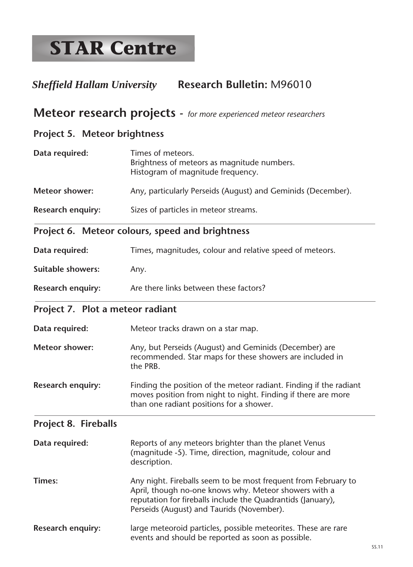# *Sheffield Hallam University* **Research Bulletin:** M96010

### **Meteor research projects** *- for more experienced meteor researchers*

#### **Project 5. Meteor brightness**

| Data required:           | Times of meteors.<br>Brightness of meteors as magnitude numbers.<br>Histogram of magnitude frequency. |
|--------------------------|-------------------------------------------------------------------------------------------------------|
| <b>Meteor shower:</b>    | Any, particularly Perseids (August) and Geminids (December).                                          |
| <b>Research enquiry:</b> | Sizes of particles in meteor streams.                                                                 |

#### **Project 6. Meteor colours, speed and brightness**

| Data required:           | Times, magnitudes, colour and relative speed of meteors. |
|--------------------------|----------------------------------------------------------|
| <b>Suitable showers:</b> | Anv.                                                     |
| <b>Research enquiry:</b> | Are there links between these factors?                   |

#### **Project 7. Plot a meteor radiant**

| Data required:           | Meteor tracks drawn on a star map.                                                                                                  |  |  |  |
|--------------------------|-------------------------------------------------------------------------------------------------------------------------------------|--|--|--|
| <b>Meteor shower:</b>    | Any, but Perseids (August) and Geminids (December) are<br>recommended. Star maps for these showers are included in<br>the PRB.      |  |  |  |
| <b>Research enquiry:</b> | Finding the position of the meteor radiant. Finding if the radiant<br>moves position from night to night. Finding if there are more |  |  |  |

than one radiant positions for a shower.

#### **Project 8. Fireballs**

| Data required: | Reports of any meteors brighter than the planet Venus<br>(magnitude -5). Time, direction, magnitude, colour and<br>description.                                                                                                     |
|----------------|-------------------------------------------------------------------------------------------------------------------------------------------------------------------------------------------------------------------------------------|
| Times:         | Any night. Fireballs seem to be most frequent from February to<br>April, though no-one knows why. Meteor showers with a<br>reputation for fireballs include the Quadrantids (January),<br>Perseids (August) and Taurids (November). |
|                |                                                                                                                                                                                                                                     |

**Research enquiry:** large meteoroid particles, possible meteorites. These are rare events and should be reported as soon as possible.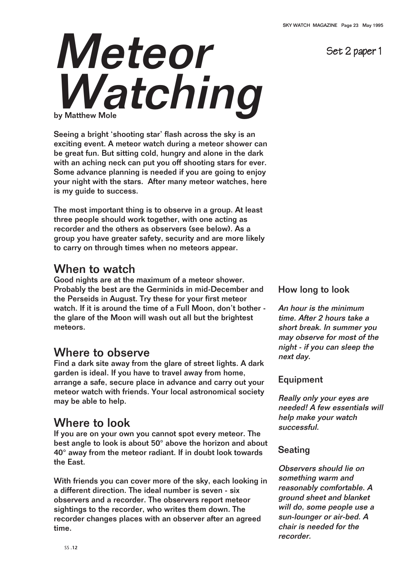Set 2 paper 1

# Meteor Watching

Seeing a bright 'shooting star' flash across the sky is an exciting event. A meteor watch during a meteor shower can be great fun. But sitting cold, hungry and alone in the dark with an aching neck can put you off shooting stars for ever. Some advance planning is needed if you are going to enjoy your night with the stars. After many meteor watches, here is my guide to success.

The most important thing is to observe in a group. At least three people should work together, with one acting as recorder and the others as observers (see below). As a group you have greater safety, security and are more likely to carry on through times when no meteors appear.

## When to watch

Good nights are at the maximum of a meteor shower. Probably the best are the Germinids in mid-December and the Perseids in August. Try these for your first meteor watch. If it is around the time of a Full Moon, don't bother the glare of the Moon will wash out all but the brightest meteors.

# Where to observe

Find a dark site away from the glare of street lights. A dark garden is ideal. If you have to travel away from home, arrange a safe, secure place in advance and carry out your meteor watch with friends. Your local astronomical society may be able to help.

# Where to look

If you are on your own you cannot spot every meteor. The best angle to look is about 50° above the horizon and about 40° away from the meteor radiant. If in doubt look towards the East.

With friends you can cover more of the sky, each looking in a different direction. The ideal number is seven - six observers and a recorder. The observers report meteor sightings to the recorder, who writes them down. The recorder changes places with an observer after an agreed time.

#### How long to look

An hour is the minimum time. After 2 hours take a short break. In summer you may observe for most of the night - if you can sleep the next day.

#### Equipment

Really only your eyes are needed! A few essentials will help make your watch successful.

#### **Seating**

Observers should lie on something warm and reasonably comfortable. A ground sheet and blanket will do, some people use a sun-lounger or air-bed. A chair is needed for the recorder.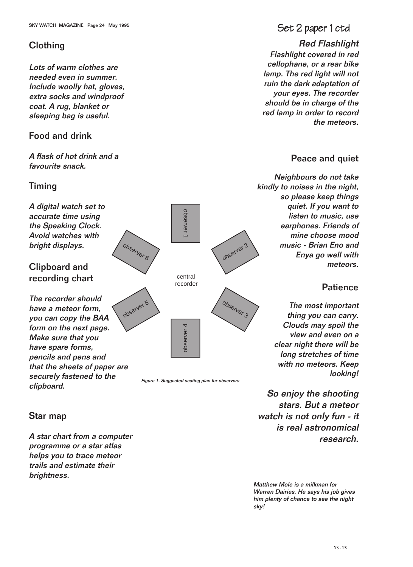#### **Clothing**

Lots of warm clothes are needed even in summer. Include woolly hat, gloves, extra socks and windproof coat. A rug, blanket or sleeping bag is useful.

#### Food and drink

A flask of hot drink and a favourite snack.

#### Timing

### SKY WATCH MAGAZINE Page 24 May 1995 SET 2 paper 1 ctd

Red Flashlight Flashlight covered in red cellophane, or a rear bike lamp. The red light will not ruin the dark adaptation of your eyes. The recorder should be in charge of the red lamp in order to record the meteors.

#### Peace and quiet

Neighbours do not take kindly to noises in the night, so please keep things quiet. If you want to listen to music, use earphones. Friends of mine choose mood music - Brian Eno and Enya go well with meteors.

#### **Patience**

The most important thing you can carry. Clouds may spoil the view and even on a clear night there will be long stretches of time with no meteors. Keep looking!

So enjoy the shooting stars. But a meteor watch is not only fun - it is real astronomical research.

Matthew Mole is a milkman for Warren Dairies. He says his job gives him plenty of chance to see the night sky!

#### Star map

clipboard.

A star chart from a computer programme or a star atlas helps you to trace meteor trails and estimate their brightness.

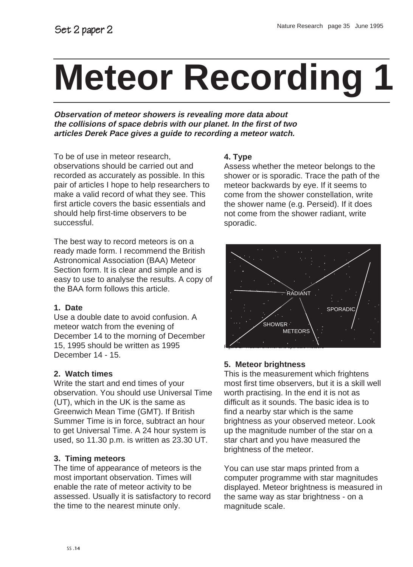# **Meteor Recording**

**Observation of meteor showers is revealing more data about the collisions of space debris with our planet. In the first of two articles Derek Pace gives a guide to recording a meteor watch.**

To be of use in meteor research, observations should be carried out and recorded as accurately as possible. In this pair of articles I hope to help researchers to make a valid record of what they see. This first article covers the basic essentials and should help first-time observers to be successful.

The best way to record meteors is on a ready made form. I recommend the British Astronomical Association (BAA) Meteor Section form. It is clear and simple and is easy to use to analyse the results. A copy of the BAA form follows this article.

#### **1. Date**

Use a double date to avoid confusion. A meteor watch from the evening of December 14 to the morning of December 15, 1995 should be written as 1995 December 14 - 15.

#### **2. Watch times**

Write the start and end times of your observation. You should use Universal Time (UT), which in the UK is the same as Greenwich Mean Time (GMT). If British Summer Time is in force, subtract an hour to get Universal Time. A 24 hour system is used, so 11.30 p.m. is written as 23.30 UT.

#### **3. Timing meteors**

The time of appearance of meteors is the most important observation. Times will enable the rate of meteor activity to be assessed. Usually it is satisfactory to record the time to the nearest minute only.

#### **4. Type**

Assess whether the meteor belongs to the shower or is sporadic. Trace the path of the meteor backwards by eye. If it seems to come from the shower constellation, write the shower name (e.g. Perseid). If it does not come from the shower radiant, write sporadic.



#### **5. Meteor brightness**

This is the measurement which frightens most first time observers, but it is a skill well worth practising. In the end it is not as difficult as it sounds. The basic idea is to find a nearby star which is the same brightness as your observed meteor. Look up the magnitude number of the star on a star chart and you have measured the brightness of the meteor.

You can use star maps printed from a computer programme with star magnitudes displayed. Meteor brightness is measured in the same way as star brightness - on a magnitude scale.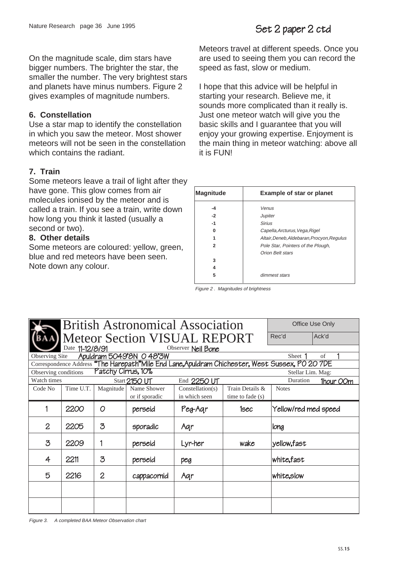On the magnitude scale, dim stars have bigger numbers. The brighter the star, the smaller the number. The very brightest stars and planets have minus numbers. Figure 2 gives examples of magnitude numbers.

#### **6. Constellation**

Use a star map to identify the constellation in which you saw the meteor. Most shower meteors will not be seen in the constellation which contains the radiant.

#### **7. Train**

Some meteors leave a trail of light after they have gone. This glow comes from air molecules ionised by the meteor and is called a train. If you see a train, write down how long you think it lasted (usually a second or two).

#### **8. Other details**

Some meteors are coloured: yellow, green, blue and red meteors have been seen. Note down any colour.

Meteors travel at different speeds. Once you are used to seeing them you can record the speed as fast, slow or medium.

I hope that this advice will be helpful in starting your research. Believe me, it sounds more complicated than it really is. Just one meteor watch will give you the basic skills and I guarantee that you will enjoy your growing expertise. Enjoyment is the main thing in meteor watching: above all it is FUN!

| <b>Magnitude</b> | <b>Example of star or planet</b>           |  |  |  |  |
|------------------|--------------------------------------------|--|--|--|--|
| -4               | Venus                                      |  |  |  |  |
| $-2$             | Jupiter                                    |  |  |  |  |
| $-1$             | <b>Sirius</b>                              |  |  |  |  |
| ŋ                | Capella, Arcturus, Vega, Rigel             |  |  |  |  |
|                  | Altair, Deneb, Aldebaran, Procyon, Regulus |  |  |  |  |
| 2                | Pole Star, Pointers of the Plough,         |  |  |  |  |
|                  | <b>Orion Belt stars</b>                    |  |  |  |  |
| 3                |                                            |  |  |  |  |
| 4                |                                            |  |  |  |  |
| 5                | dimmest stars                              |  |  |  |  |

Figure 2 . Magnitudes of brightness

| <b>British Astronomical Association</b> |                                     |                    |                         |                                                                                                  | Office Use Only    |                      |                  |
|-----------------------------------------|-------------------------------------|--------------------|-------------------------|--------------------------------------------------------------------------------------------------|--------------------|----------------------|------------------|
|                                         | <b>Meteor Section VISUAL REPORT</b> |                    |                         |                                                                                                  |                    |                      | Ack'd            |
|                                         | Date 11-12/8/91                     |                    |                         | Observer Neil Bone                                                                               |                    |                      |                  |
| Observing Site                          |                                     |                    | Apuldram 5049'8N 048'3W |                                                                                                  |                    | Sheet 1              | of               |
|                                         |                                     |                    |                         | Correspondence Address "The Harepath" Mile End Lane, Apuldram Chichester, West Sussex, PO 20 7DE |                    |                      |                  |
| Observing conditions                    |                                     | Patchy Cirrus, 10% |                         |                                                                                                  |                    | Stellar Lim. Mag:    |                  |
| Watch times                             |                                     |                    | Start 2150 UT           | End 2250 UT                                                                                      |                    | Duration             | <b>1hour OOm</b> |
| Code No                                 | Time U.T.                           | Magnitude          | Name Shower             | Constellar(s)                                                                                    | Train Details &    | <b>Notes</b>         |                  |
|                                         |                                     |                    | or if sporadic          | in which seen                                                                                    | time to fade $(s)$ |                      |                  |
|                                         | 2200                                | O                  | perseid                 | Peg-Aqr                                                                                          | 1sec               | Yellow/red med speed |                  |
| $\overline{2}$                          | 2205                                | $\mathcal{Z}$      | sporadic                | Aqr                                                                                              |                    | long                 |                  |
| $\mathcal{Z}$                           | 2209                                | 1                  | perseid                 | Lyr-her                                                                                          | wake               | yellow,fast          |                  |
| 4                                       | 2211                                | $\mathcal{Z}$      | perseid                 | peg                                                                                              |                    | white, fast          |                  |
| 5                                       | 2216                                | $\overline{2}$     | cappacornid             | Aqr                                                                                              |                    | white, slow          |                  |
|                                         |                                     |                    |                         |                                                                                                  |                    |                      |                  |
|                                         |                                     |                    |                         |                                                                                                  |                    |                      |                  |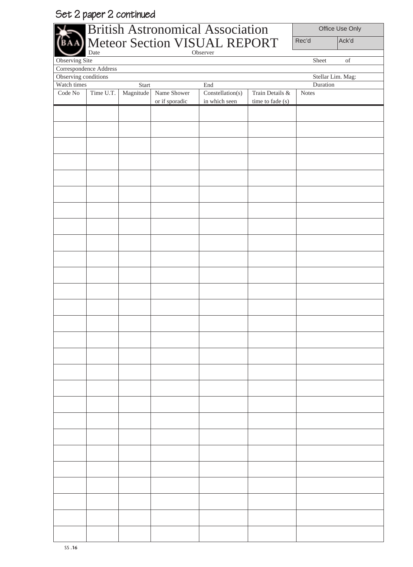# Set 2 paper 2 continued

|                     |                        |           |                | <b>British Astronomical Association</b> |                  | Office Use Only |                                                                                                    |
|---------------------|------------------------|-----------|----------------|-----------------------------------------|------------------|-----------------|----------------------------------------------------------------------------------------------------|
|                     |                        |           |                | Meteor Section VISUAL REPORT            |                  | Rec'd           | Ack'd                                                                                              |
| Observing Site      | Date                   |           |                | Observer                                |                  | Sheet           | $% \left( \left( \mathcal{A},\mathcal{A}\right) \right) =\left( \mathcal{A},\mathcal{A}\right)$ of |
|                     | Correspondence Address |           |                |                                         |                  |                 |                                                                                                    |
|                     | Observing conditions   |           |                |                                         |                  |                 | Stellar Lim. Mag:                                                                                  |
| Watch times         |                        | Start     |                | End                                     |                  | Duration        |                                                                                                    |
| $\rm Code$ $\rm No$ | Time U.T.              | Magnitude | Name Shower    | Constellation(s)                        | Train Details &  | Notes           |                                                                                                    |
|                     |                        |           | or if sporadic | in which seen                           | time to fade (s) |                 |                                                                                                    |
|                     |                        |           |                |                                         |                  |                 |                                                                                                    |
|                     |                        |           |                |                                         |                  |                 |                                                                                                    |
|                     |                        |           |                |                                         |                  |                 |                                                                                                    |
|                     |                        |           |                |                                         |                  |                 |                                                                                                    |
|                     |                        |           |                |                                         |                  |                 |                                                                                                    |
|                     |                        |           |                |                                         |                  |                 |                                                                                                    |
|                     |                        |           |                |                                         |                  |                 |                                                                                                    |
|                     |                        |           |                |                                         |                  |                 |                                                                                                    |
|                     |                        |           |                |                                         |                  |                 |                                                                                                    |
|                     |                        |           |                |                                         |                  |                 |                                                                                                    |
|                     |                        |           |                |                                         |                  |                 |                                                                                                    |
|                     |                        |           |                |                                         |                  |                 |                                                                                                    |
|                     |                        |           |                |                                         |                  |                 |                                                                                                    |
|                     |                        |           |                |                                         |                  |                 |                                                                                                    |
|                     |                        |           |                |                                         |                  |                 |                                                                                                    |
|                     |                        |           |                |                                         |                  |                 |                                                                                                    |
|                     |                        |           |                |                                         |                  |                 |                                                                                                    |
|                     |                        |           |                |                                         |                  |                 |                                                                                                    |
|                     |                        |           |                |                                         |                  |                 |                                                                                                    |
|                     |                        |           |                |                                         |                  |                 |                                                                                                    |
|                     |                        |           |                |                                         |                  |                 |                                                                                                    |
|                     |                        |           |                |                                         |                  |                 |                                                                                                    |
|                     |                        |           |                |                                         |                  |                 |                                                                                                    |
|                     |                        |           |                |                                         |                  |                 |                                                                                                    |
|                     |                        |           |                |                                         |                  |                 |                                                                                                    |
|                     |                        |           |                |                                         |                  |                 |                                                                                                    |
|                     |                        |           |                |                                         |                  |                 |                                                                                                    |
|                     |                        |           |                |                                         |                  |                 |                                                                                                    |
|                     |                        |           |                |                                         |                  |                 |                                                                                                    |
|                     |                        |           |                |                                         |                  |                 |                                                                                                    |
|                     |                        |           |                |                                         |                  |                 |                                                                                                    |
|                     |                        |           |                |                                         |                  |                 |                                                                                                    |
|                     |                        |           |                |                                         |                  |                 |                                                                                                    |
|                     |                        |           |                |                                         |                  |                 |                                                                                                    |
|                     |                        |           |                |                                         |                  |                 |                                                                                                    |
|                     |                        |           |                |                                         |                  |                 |                                                                                                    |
|                     |                        |           |                |                                         |                  |                 |                                                                                                    |
|                     |                        |           |                |                                         |                  |                 |                                                                                                    |
|                     |                        |           |                |                                         |                  |                 |                                                                                                    |
|                     |                        |           |                |                                         |                  |                 |                                                                                                    |
|                     |                        |           |                |                                         |                  |                 |                                                                                                    |
|                     |                        |           |                |                                         |                  |                 |                                                                                                    |
|                     |                        |           |                |                                         |                  |                 |                                                                                                    |
|                     |                        |           |                |                                         |                  |                 |                                                                                                    |
|                     |                        |           |                |                                         |                  |                 |                                                                                                    |
|                     |                        |           |                |                                         |                  |                 |                                                                                                    |

⊥

L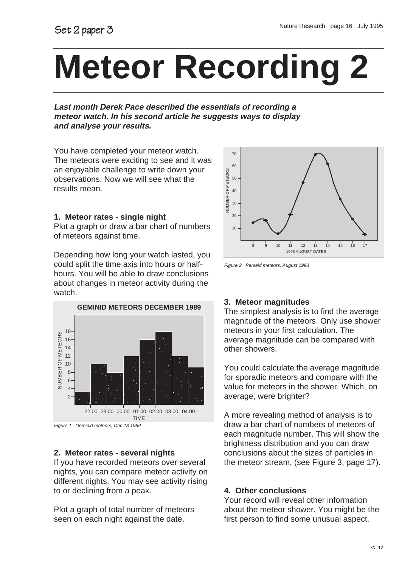# **Meteor Recording 2**

**Last month Derek Pace described the essentials of recording a meteor watch. In his second article he suggests ways to display and analyse your results.**

You have completed your meteor watch. The meteors were exciting to see and it was an enjoyable challenge to write down your observations. Now we will see what the results mean.

#### **1. Meteor rates - single night**

Plot a graph or draw a bar chart of numbers of meteors against time.

Depending how long your watch lasted, you could split the time axis into hours or halfhours. You will be able to draw conclusions about changes in meteor activity during the watch.





#### **2. Meteor rates - several nights**

If you have recorded meteors over several nights, you can compare meteor activity on different nights. You may see activity rising to or declining from a peak.

Plot a graph of total number of meteors seen on each night against the date.



Figure 2. Perseid meteors, August 1993

#### **3. Meteor magnitudes**

The simplest analysis is to find the average magnitude of the meteors. Only use shower meteors in your first calculation. The average magnitude can be compared with other showers.

You could calculate the average magnitude for sporadic meteors and compare with the value for meteors in the shower. Which, on average, were brighter?

A more revealing method of analysis is to draw a bar chart of numbers of meteors of each magnitude number. This will show the brightness distribution and you can draw conclusions about the sizes of particles in the meteor stream, (see Figure 3, page 17).

#### **4. Other conclusions**

Your record will reveal other information about the meteor shower. You might be the first person to find some unusual aspect.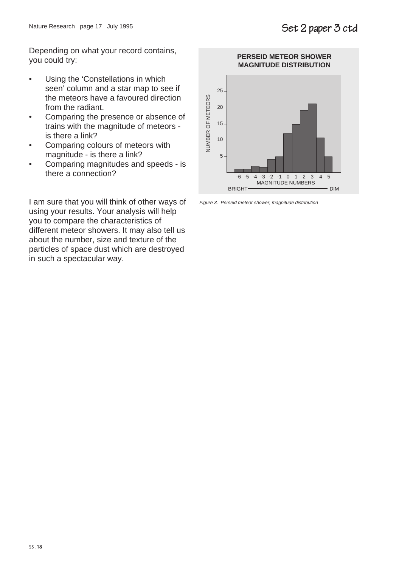Depending on what your record contains, you could try:

- Using the 'Constellations in which seen' column and a star map to see if the meteors have a favoured direction from the radiant.
- Comparing the presence or absence of trains with the magnitude of meteors is there a link?
- Comparing colours of meteors with magnitude - is there a link?
- Comparing magnitudes and speeds is there a connection?

I am sure that you will think of other ways of using your results. Your analysis will help you to compare the characteristics of different meteor showers. It may also tell us about the number, size and texture of the particles of space dust which are destroyed in such a spectacular way.



Figure 3. Perseid meteor shower, magnitude distribution